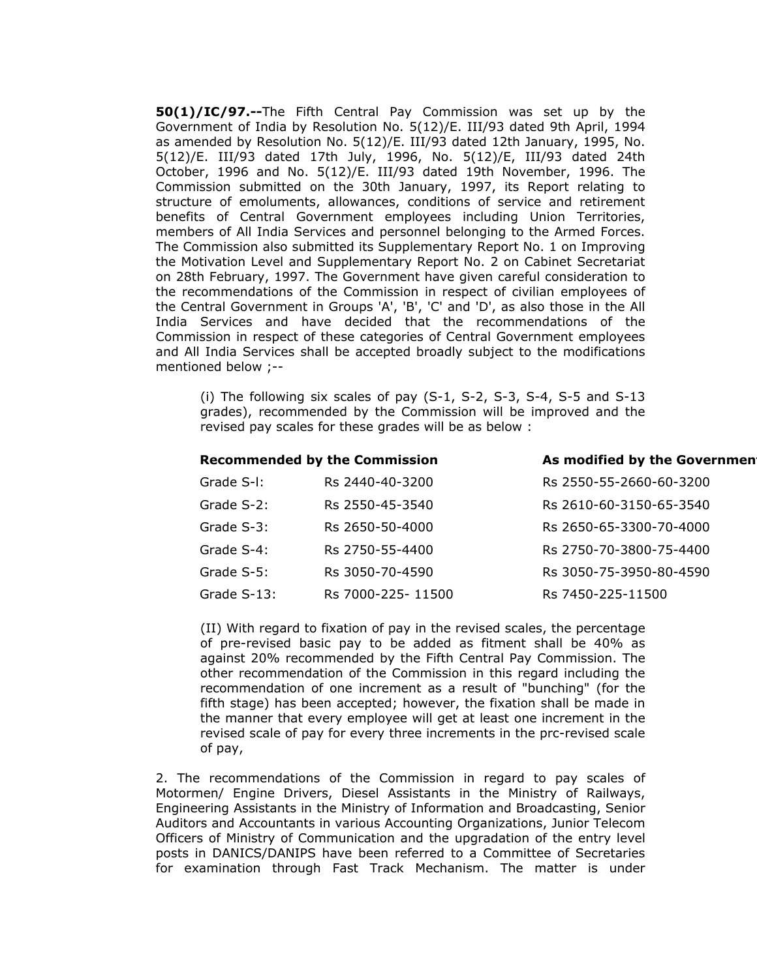**50(1)/IC/97.--**The Fifth Central Pay Commission was set up by the Government of India by Resolution No. 5(12)/E. III/93 dated 9th April, 1994 as amended by Resolution No. 5(12)/E. III/93 dated 12th January, 1995, No. 5(12)/E. III/93 dated 17th July, 1996, No. 5(12)/E, III/93 dated 24th October, 1996 and No. 5(12)/E. III/93 dated 19th November, 1996. The Commission submitted on the 30th January, 1997, its Report relating to structure of emoluments, allowances, conditions of service and retirement benefits of Central Government employees including Union Territories, members of All India Services and personnel belonging to the Armed Forces. The Commission also submitted its Supplementary Report No. 1 on Improving the Motivation Level and Supplementary Report No. 2 on Cabinet Secretariat on 28th February, 1997. The Government have given careful consideration to the recommendations of the Commission in respect of civilian employees of the Central Government in Groups 'A', 'B', 'C' and 'D', as also those in the All India Services and have decided that the recommendations of the Commission in respect of these categories of Central Government employees and All India Services shall be accepted broadly subject to the modifications mentioned below ;--

(i) The following six scales of pay (S-1, S-2, S-3, S-4, S-5 and S-13 grades), recommended by the Commission will be improved and the revised pay scales for these grades will be as below :

#### **Recommended by the Commission The As modified by the Government**

| Grade S-I:  | Rs 2440-40-3200   | Rs 2550-55-2660-60-3200 |
|-------------|-------------------|-------------------------|
| Grade S-2:  | Rs 2550-45-3540   | Rs 2610-60-3150-65-3540 |
| Grade S-3:  | Rs 2650-50-4000   | Rs 2650-65-3300-70-4000 |
| Grade S-4:  | Rs 2750-55-4400   | Rs 2750-70-3800-75-4400 |
| Grade S-5:  | Rs 3050-70-4590   | Rs 3050-75-3950-80-4590 |
| Grade S-13: | Rs 7000-225-11500 | Rs 7450-225-11500       |

(II) With regard to fixation of pay in the revised scales, the percentage of pre-revised basic pay to be added as fitment shall be 40% as against 20% recommended by the Fifth Central Pay Commission. The other recommendation of the Commission in this regard including the recommendation of one increment as a result of "bunching" (for the fifth stage) has been accepted; however, the fixation shall be made in the manner that every employee will get at least one increment in the revised scale of pay for every three increments in the prc-revised scale of pay,

2. The recommendations of the Commission in regard to pay scales of Motormen/ Engine Drivers, Diesel Assistants in the Ministry of Railways, Engineering Assistants in the Ministry of Information and Broadcasting, Senior Auditors and Accountants in various Accounting Organizations, Junior Telecom Officers of Ministry of Communication and the upgradation of the entry level posts in DANICS/DANIPS have been referred to a Committee of Secretaries for examination through Fast Track Mechanism. The matter is under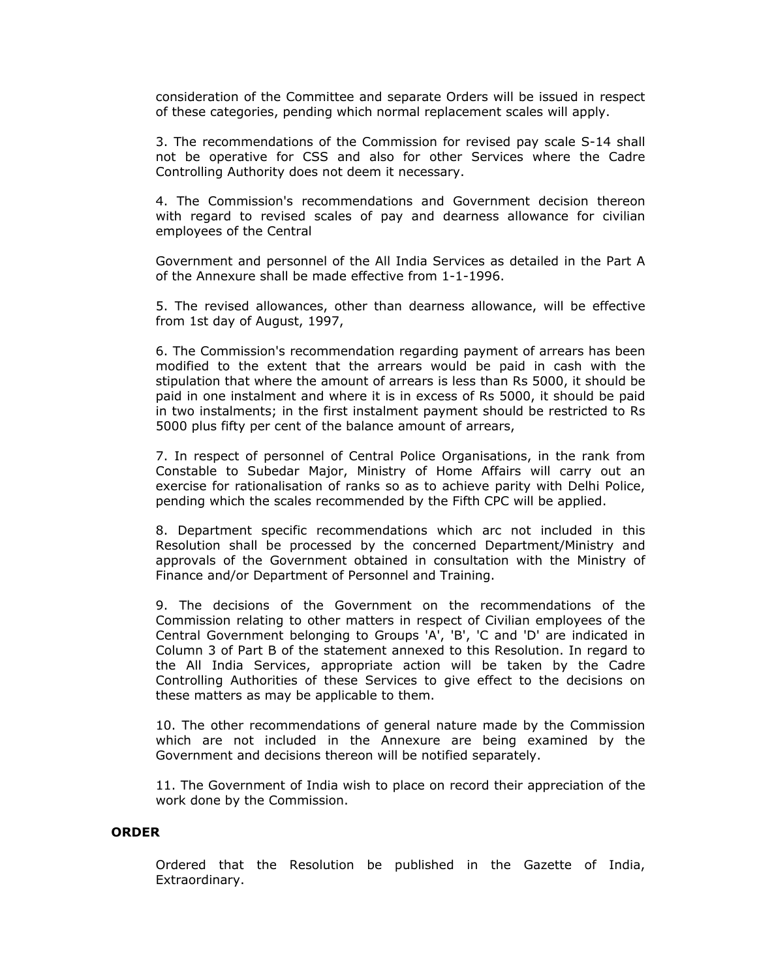consideration of the Committee and separate Orders will be issued in respect of these categories, pending which normal replacement scales will apply.

3. The recommendations of the Commission for revised pay scale S-14 shall not be operative for CSS and also for other Services where the Cadre Controlling Authority does not deem it necessary.

4. The Commission's recommendations and Government decision thereon with regard to revised scales of pay and dearness allowance for civilian employees of the Central

Government and personnel of the All India Services as detailed in the Part A of the Annexure shall be made effective from 1-1-1996.

5. The revised allowances, other than dearness allowance, will be effective from 1st day of August, 1997,

6. The Commission's recommendation regarding payment of arrears has been modified to the extent that the arrears would be paid in cash with the stipulation that where the amount of arrears is less than Rs 5000, it should be paid in one instalment and where it is in excess of Rs 5000, it should be paid in two instalments; in the first instalment payment should be restricted to Rs 5000 plus fifty per cent of the balance amount of arrears,

7. In respect of personnel of Central Police Organisations, in the rank from Constable to Subedar Major, Ministry of Home Affairs will carry out an exercise for rationalisation of ranks so as to achieve parity with Delhi Police, pending which the scales recommended by the Fifth CPC will be applied.

8. Department specific recommendations which arc not included in this Resolution shall be processed by the concerned Department/Ministry and approvals of the Government obtained in consultation with the Ministry of Finance and/or Department of Personnel and Training.

9. The decisions of the Government on the recommendations of the Commission relating to other matters in respect of Civilian employees of the Central Government belonging to Groups 'A', 'B', 'C and 'D' are indicated in Column 3 of Part B of the statement annexed to this Resolution. In regard to the All India Services, appropriate action will be taken by the Cadre Controlling Authorities of these Services to give effect to the decisions on these matters as may be applicable to them.

10. The other recommendations of general nature made by the Commission which are not included in the Annexure are being examined by the Government and decisions thereon will be notified separately.

11. The Government of India wish to place on record their appreciation of the work done by the Commission.

#### **ORDER**

Ordered that the Resolution be published in the Gazette of India, Extraordinary.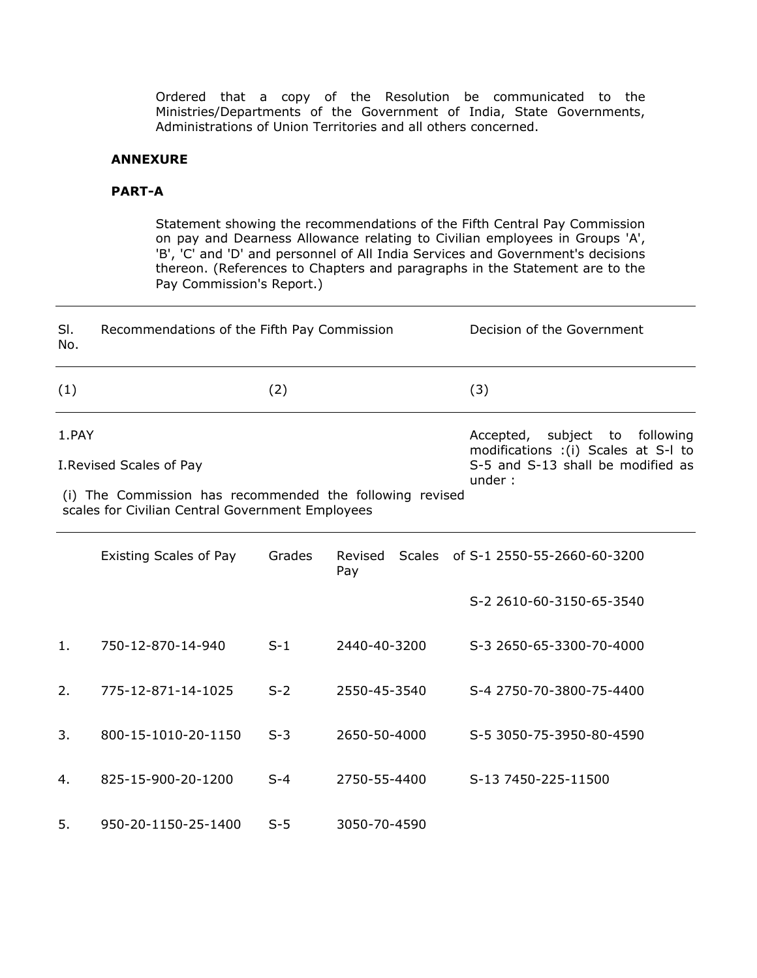Ordered that a copy of the Resolution be communicated to the Ministries/Departments of the Government of India, State Governments, Administrations of Union Territories and all others concerned.

## **ANNEXURE**

### **PART-A**

Statement showing the recommendations of the Fifth Central Pay Commission on pay and Dearness Allowance relating to Civilian employees in Groups 'A', 'B', 'C' and 'D' and personnel of All India Services and Government's decisions thereon. (References to Chapters and paragraphs in the Statement are to the Pay Commission's Report.)

| SI.<br>No.                                                                                                             | Recommendations of the Fifth Pay Commission |                                   |                                                                                 | Decision of the Government         |  |
|------------------------------------------------------------------------------------------------------------------------|---------------------------------------------|-----------------------------------|---------------------------------------------------------------------------------|------------------------------------|--|
| (1)                                                                                                                    |                                             | (2)                               |                                                                                 | (3)                                |  |
| 1.PAY                                                                                                                  |                                             |                                   | subject<br>following<br>Accepted,<br>to<br>modifications : (i) Scales at S-I to |                                    |  |
|                                                                                                                        | I. Revised Scales of Pay                    | S-5 and S-13 shall be modified as |                                                                                 |                                    |  |
| under:<br>(i) The Commission has recommended the following revised<br>scales for Civilian Central Government Employees |                                             |                                   |                                                                                 |                                    |  |
|                                                                                                                        | <b>Existing Scales of Pay</b>               | Grades                            | Revised<br>Pay                                                                  | Scales of S-1 2550-55-2660-60-3200 |  |
|                                                                                                                        |                                             |                                   |                                                                                 | S-2 2610-60-3150-65-3540           |  |
| 1.                                                                                                                     | 750-12-870-14-940                           | $S-1$                             | 2440-40-3200                                                                    | S-3 2650-65-3300-70-4000           |  |
| 2.                                                                                                                     | 775-12-871-14-1025                          | $S-2$                             | 2550-45-3540                                                                    | S-4 2750-70-3800-75-4400           |  |
| 3.                                                                                                                     | 800-15-1010-20-1150                         | $S-3$                             | 2650-50-4000                                                                    | S-5 3050-75-3950-80-4590           |  |
| 4.                                                                                                                     | 825-15-900-20-1200                          | $S-4$                             | 2750-55-4400                                                                    | S-13 7450-225-11500                |  |
| 5.                                                                                                                     | 950-20-1150-25-1400                         | $S-5$                             | 3050-70-4590                                                                    |                                    |  |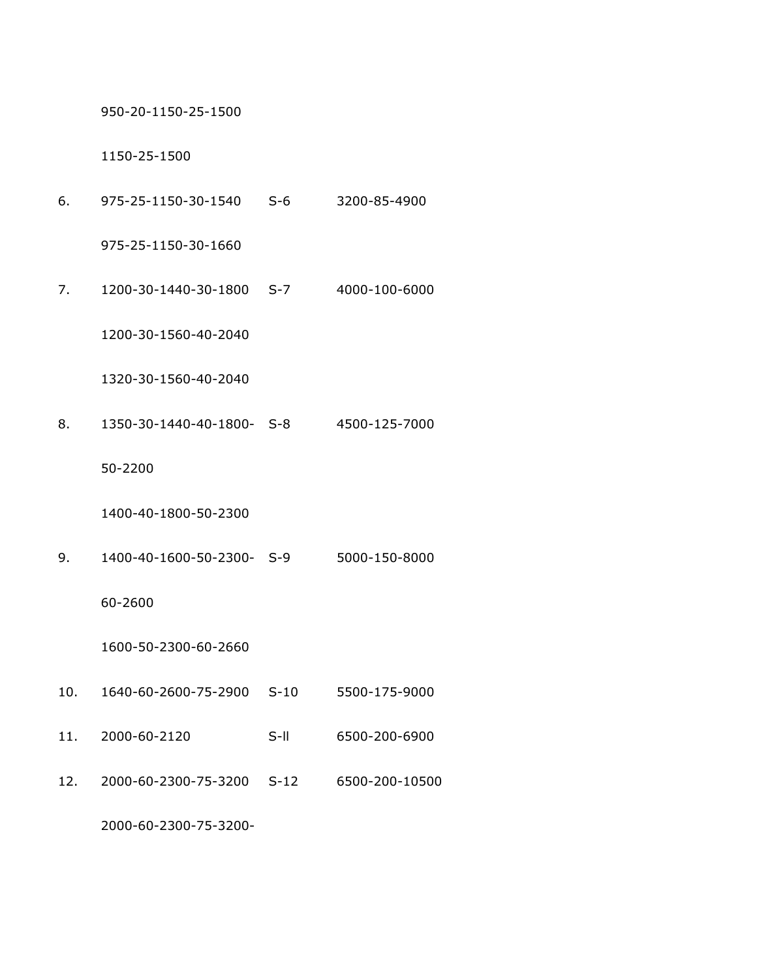950-20-1150-25-1500

1150-25-1500

6. 975-25-1150-30-1540 S-6 3200-85-4900

975-25-1150-30-1660

7. 1200-30-1440-30-1800 S-7 4000-100-6000

1200-30-1560-40-2040

1320-30-1560-40-2040

8. 1350-30-1440-40-1800- S-8 4500-125-7000

50-2200

1400-40-1800-50-2300

9. 1400-40-1600-50-2300- S-9 5000-150-8000

60-2600

1600-50-2300-60-2660

- 10. 1640-60-2600-75-2900 S-10 5500-175-9000
- 11. 2000-60-2120 S-ll 6500-200-6900
- 12. 2000-60-2300-75-3200 S-12 6500-200-10500

2000-60-2300-75-3200-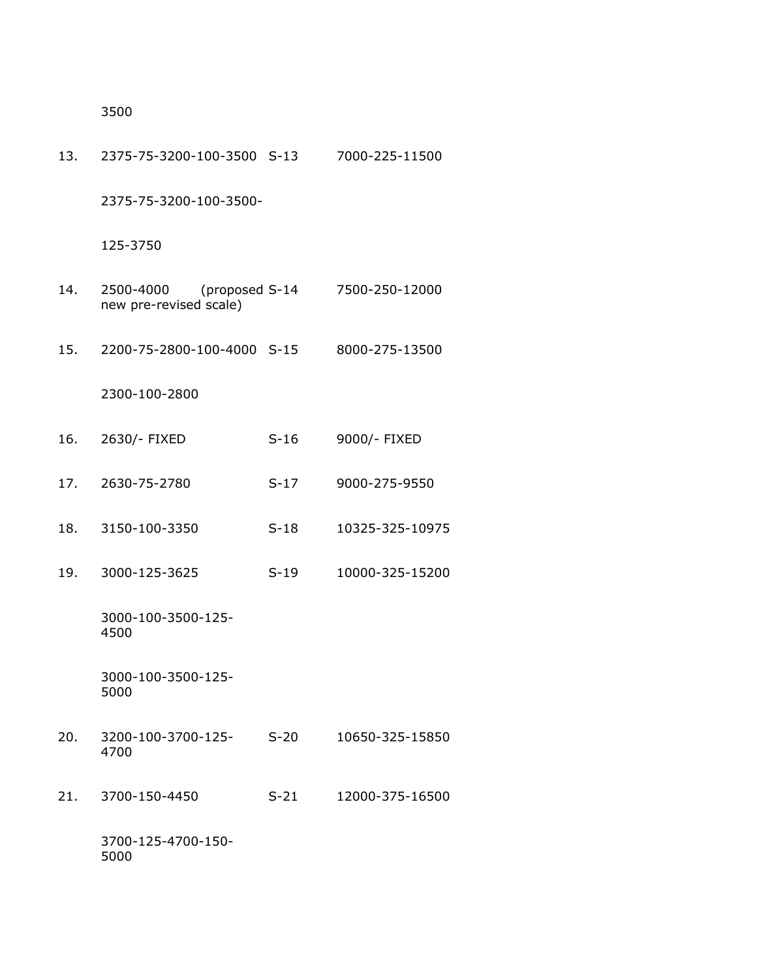3500

| 13. | 2375-75-3200-100-3500 S-13          |                | 7000-225-11500  |
|-----|-------------------------------------|----------------|-----------------|
|     | 2375-75-3200-100-3500-              |                |                 |
|     | 125-3750                            |                |                 |
| 14. | 2500-4000<br>new pre-revised scale) | (proposed S-14 | 7500-250-12000  |
| 15. | 2200-75-2800-100-4000 S-15          |                | 8000-275-13500  |
|     | 2300-100-2800                       |                |                 |
| 16. | 2630/- FIXED                        | $S-16$         | 9000/- FIXED    |
| 17. | 2630-75-2780                        | $S-17$         | 9000-275-9550   |
| 18. | 3150-100-3350                       | $S-18$         | 10325-325-10975 |
| 19. | 3000-125-3625                       | $S-19$         | 10000-325-15200 |
|     | 3000-100-3500-125-<br>4500          |                |                 |
|     | 3000-100-3500-125-<br>5000          |                |                 |
| 20. | 3200-100-3700-125-<br>4700          | $S-20$         | 10650-325-15850 |
| 21. | 3700-150-4450                       | $S-21$         | 12000-375-16500 |
|     | 3700-125-4700-150-<br>5000          |                |                 |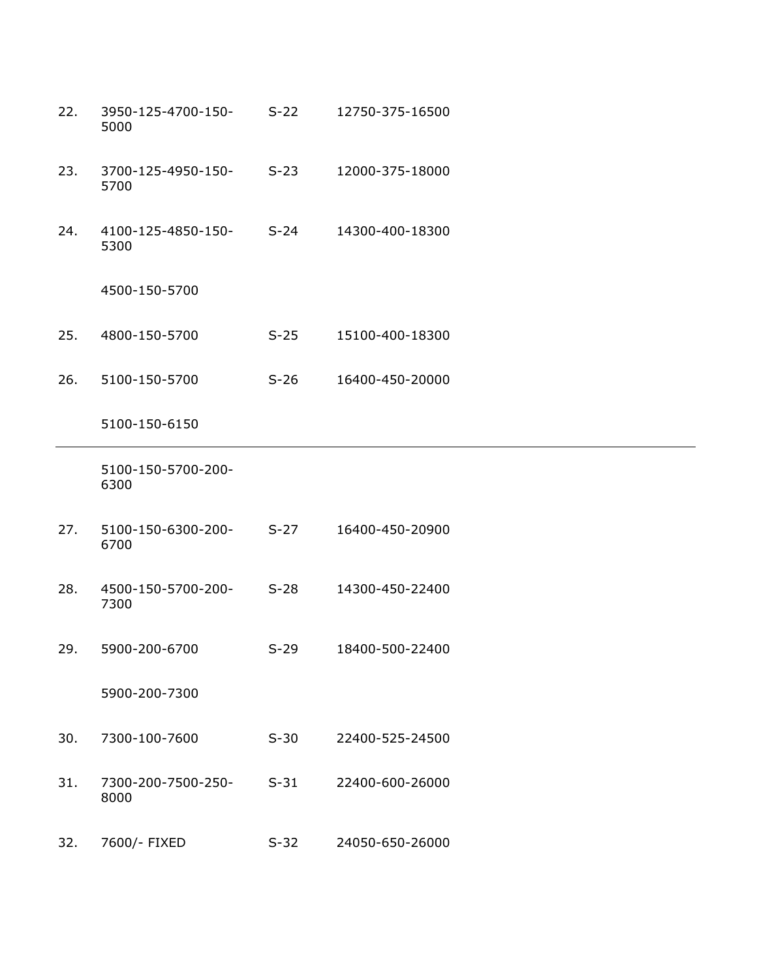- 22. 3950-125-4700-150- 5000 S-22 12750-375-16500
- 23. 3700-125-4950-150- 5700 S-23 12000-375-18000
- 24. 4100-125-4850-150- 5300 S-24 14300-400-18300
	- 4500-150-5700
- 25. 4800-150-5700 S-25 15100-400-18300
- 26. 5100-150-5700 S-26 16400-450-20000

5100-150-6150

 5100-150-5700-200- 6300

- 27. 5100-150-6300-200- 6700 S-27 16400-450-20900
- 28. 4500-150-5700-200- 7300 S-28 14300-450-22400
- 29. 5900-200-6700 S-29 18400-500-22400

5900-200-7300

- 30. 7300-100-7600 S-30 22400-525-24500
- 31. 7300-200-7500-250- 8000 S-31 22400-600-26000
- 32. 7600/- FIXED S-32 24050-650-26000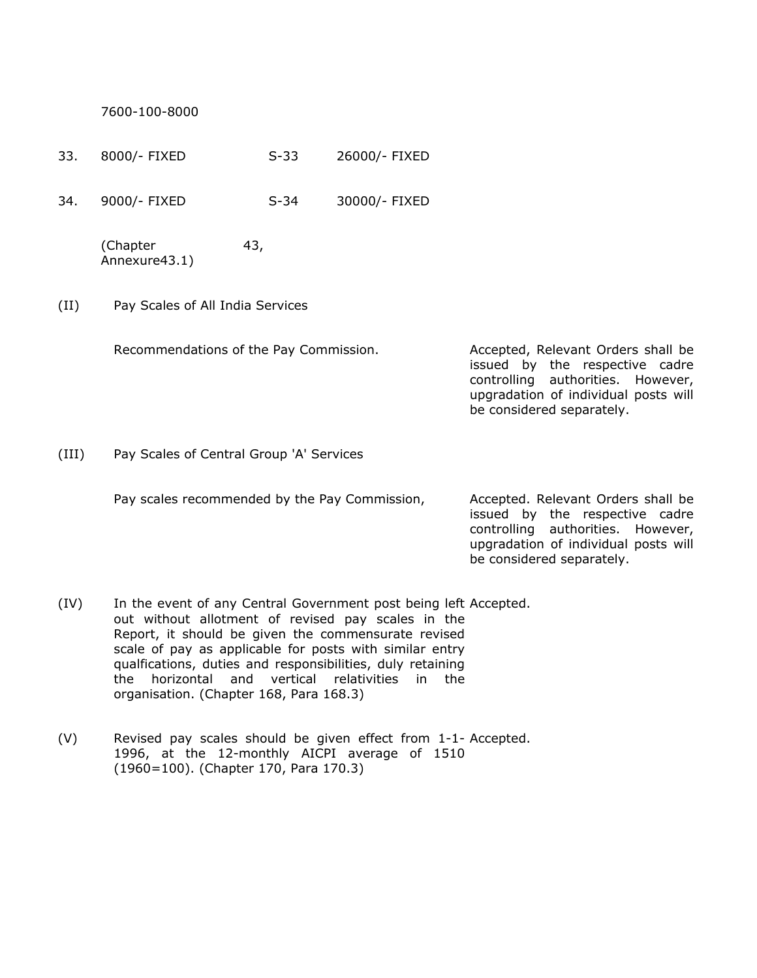7600-100-8000

- 33. 8000/- FIXED S-33 26000/- FIXED
- 34. 9000/- FIXED S-34 30000/- FIXED

(Chapter 43, Annexure43.1)

(II) Pay Scales of All India Services

Recommendations of the Pay Commission. Accepted, Relevant Orders shall be

issued by the respective cadre controlling authorities. However, upgradation of individual posts will be considered separately.

be considered separately.

(III) Pay Scales of Central Group 'A' Services

| Pay scales recommended by the Pay Commission, | Accepted. Relevant Orders shall be   |
|-----------------------------------------------|--------------------------------------|
|                                               | issued by the respective cadre       |
|                                               | controlling authorities. However,    |
|                                               | upgradation of individual posts will |

- (IV) In the event of any Central Government post being left Accepted. out without allotment of revised pay scales in the Report, it should be given the commensurate revised scale of pay as applicable for posts with similar entry qualfications, duties and responsibilities, duly retaining the horizontal and vertical relativities in the organisation. (Chapter 168, Para 168.3)
- (V) Revised pay scales should be given effect from 1-1- Accepted. 1996, at the 12-monthly AICPI average of 1510 (1960=100). (Chapter 170, Para 170.3)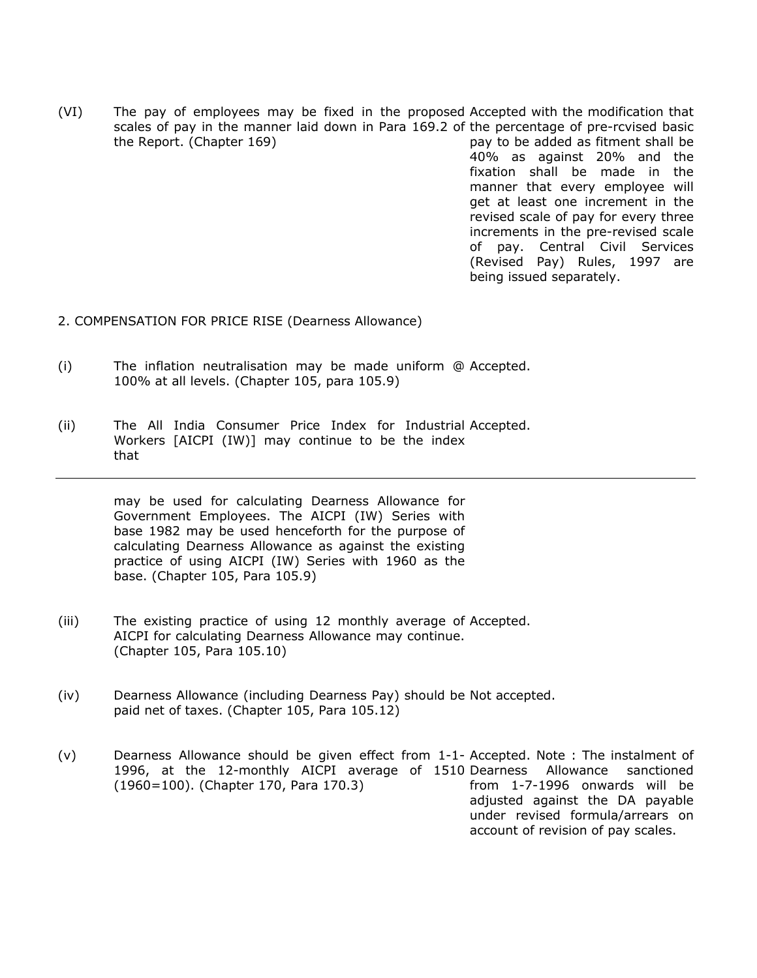(VI) The pay of employees may be fixed in the proposed Accepted with the modification that scales of pay in the manner laid down in Para 169.2 of the percentage of pre-rcvised basic the Report. (Chapter 169) pay to be added as fitment shall be 40% as against 20% and the fixation shall be made in the manner that every employee will get at least one increment in the revised scale of pay for every three increments in the pre-revised scale of pay. Central Civil Services (Revised Pay) Rules, 1997 are

being issued separately.

- 2. COMPENSATION FOR PRICE RISE (Dearness Allowance)
- (i) The inflation neutralisation may be made uniform @ Accepted. 100% at all levels. (Chapter 105, para 105.9)
- (ii) The All India Consumer Price Index for Industrial Accepted. Workers [AICPI (IW)] may continue to be the index that

 may be used for calculating Dearness Allowance for Government Employees. The AICPI (IW) Series with base 1982 may be used henceforth for the purpose of calculating Dearness Allowance as against the existing practice of using AICPI (IW) Series with 1960 as the base. (Chapter 105, Para 105.9)

- (iii) The existing practice of using 12 monthly average of Accepted. AICPI for calculating Dearness Allowance may continue. (Chapter 105, Para 105.10)
- (iv) Dearness Allowance (including Dearness Pay) should be Not accepted. paid net of taxes. (Chapter 105, Para 105.12)
- (v) Dearness Allowance should be given effect from 1-1- Accepted. Note : The instalment of 1996, at the 12-monthly AICPI average of 1510 Dearness Allowance sanctioned (1960=100). (Chapter 170, Para 170.3) from 1-7-1996 onwards will be adjusted against the DA payable under revised formula/arrears on account of revision of pay scales.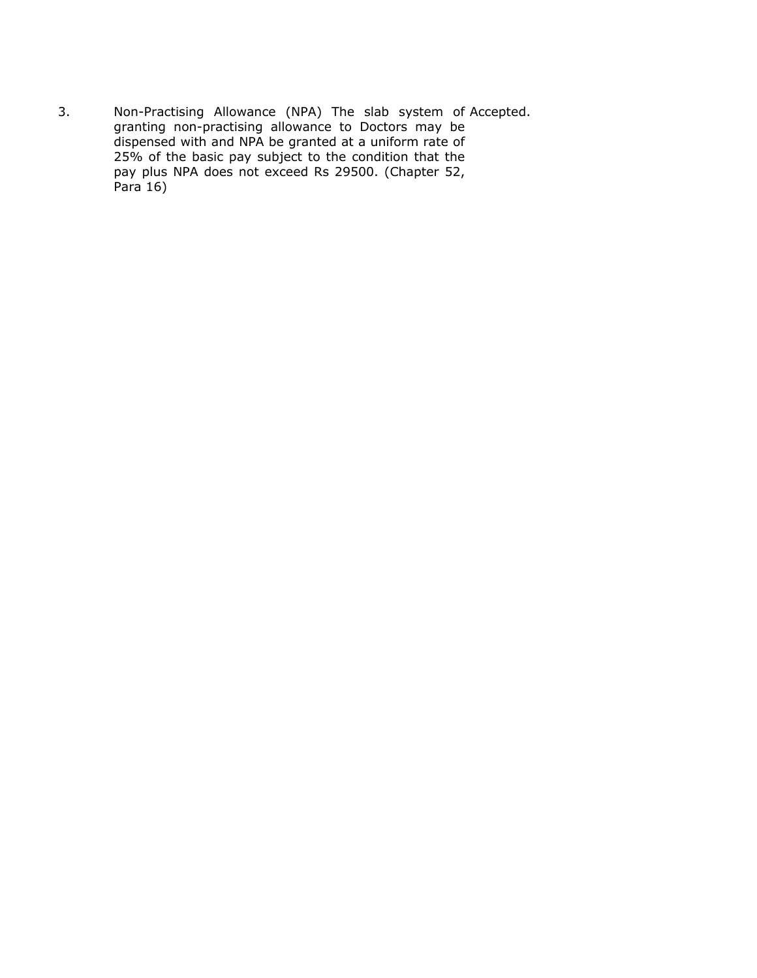3. Non-Practising Allowance (NPA) The slab system of Accepted. granting non-practising allowance to Doctors may be dispensed with and NPA be granted at a uniform rate of 25% of the basic pay subject to the condition that the pay plus NPA does not exceed Rs 29500. (Chapter 52,  $Para<sub>16</sub>$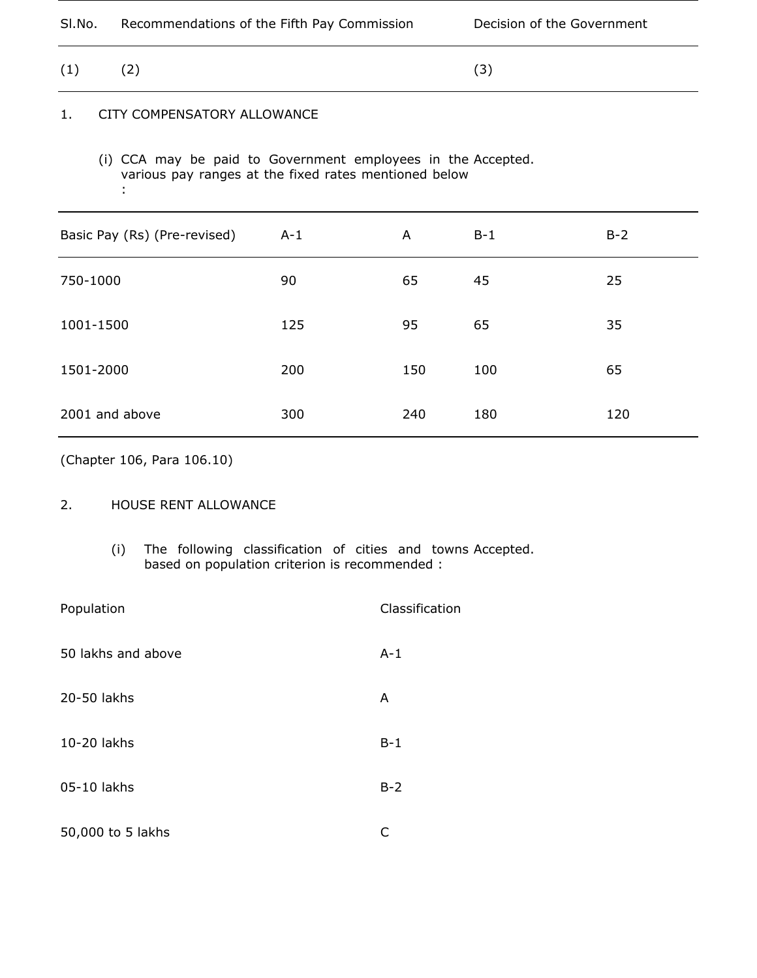| SI.No.<br>Recommendations of the Fifth Pay Commission |  | Decision of the Government |
|-------------------------------------------------------|--|----------------------------|
|-------------------------------------------------------|--|----------------------------|

 $(1)$   $(2)$   $(3)$ 

# 1. CITY COMPENSATORY ALLOWANCE

 (i) CCA may be paid to Government employees in the Accepted. various pay ranges at the fixed rates mentioned below :

| Basic Pay (Rs) (Pre-revised) | $A-1$ | A   | $B-1$ | $B-2$ |
|------------------------------|-------|-----|-------|-------|
| 750-1000                     | 90    | 65  | 45    | 25    |
| 1001-1500                    | 125   | 95  | 65    | 35    |
| 1501-2000                    | 200   | 150 | 100   | 65    |
| 2001 and above               | 300   | 240 | 180   | 120   |

(Chapter 106, Para 106.10)

## 2. HOUSE RENT ALLOWANCE

 (i) The following classification of cities and towns Accepted. based on population criterion is recommended :

| Population         | Classification |
|--------------------|----------------|
| 50 lakhs and above | $A-1$          |
| 20-50 lakhs        | A              |
| 10-20 lakhs        | $B-1$          |
| 05-10 lakhs        | $B-2$          |
| 50,000 to 5 lakhs  | C              |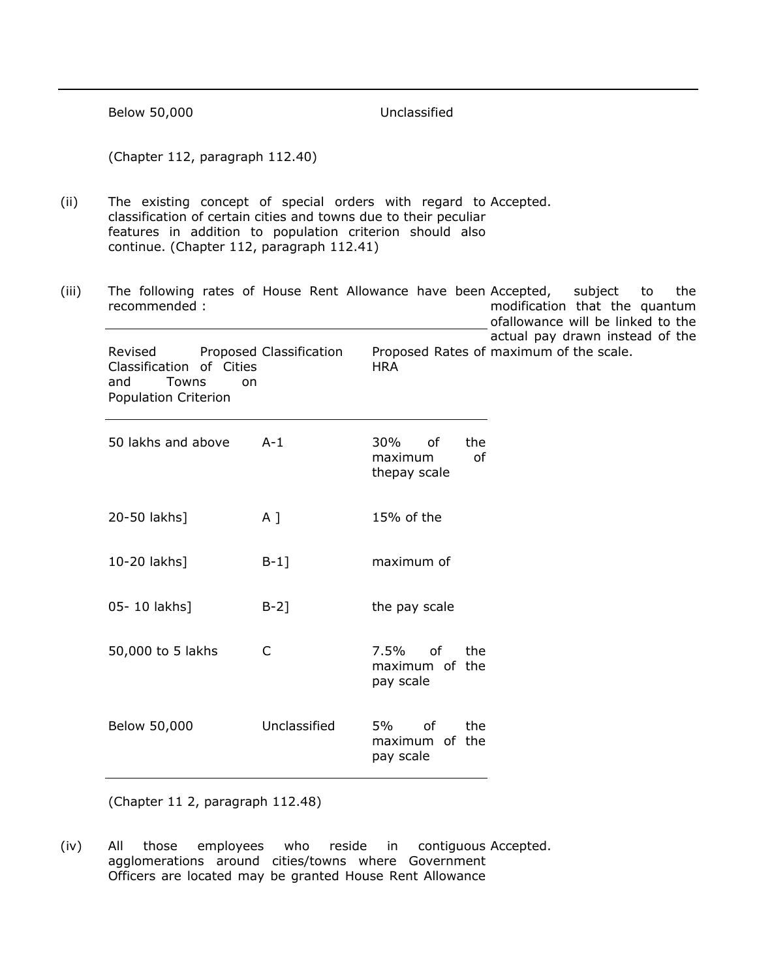|       | Below 50,000                                                                                                                                                                                                                                 |                                                                                            | Unclassified                                             |                                                                            |
|-------|----------------------------------------------------------------------------------------------------------------------------------------------------------------------------------------------------------------------------------------------|--------------------------------------------------------------------------------------------|----------------------------------------------------------|----------------------------------------------------------------------------|
|       | (Chapter 112, paragraph 112.40)                                                                                                                                                                                                              |                                                                                            |                                                          |                                                                            |
| (ii)  | The existing concept of special orders with regard to Accepted.<br>classification of certain cities and towns due to their peculiar<br>features in addition to population criterion should also<br>continue. (Chapter 112, paragraph 112.41) |                                                                                            |                                                          |                                                                            |
| (iii) | The following rates of House Rent Allowance have been Accepted,<br>recommended:                                                                                                                                                              | subject<br>to<br>the<br>modification that the quantum<br>ofallowance will be linked to the |                                                          |                                                                            |
|       | Revised<br>Classification of Cities<br>and<br>Towns<br><sub>on</sub><br>Population Criterion                                                                                                                                                 | Proposed Classification                                                                    | <b>HRA</b>                                               | actual pay drawn instead of the<br>Proposed Rates of maximum of the scale. |
|       | 50 lakhs and above                                                                                                                                                                                                                           | $A-1$                                                                                      | 30%<br>of<br>the<br>of<br>maximum<br>thepay scale        |                                                                            |
|       | 20-50 lakhs]                                                                                                                                                                                                                                 | $A$ ]                                                                                      | 15% of the                                               |                                                                            |
|       | 10-20 lakhs]                                                                                                                                                                                                                                 | $B-1$ ]                                                                                    | maximum of                                               |                                                                            |
|       | 05-10 lakhs]                                                                                                                                                                                                                                 | $B-2$ ]                                                                                    | the pay scale                                            |                                                                            |
|       | 50,000 to 5 lakhs                                                                                                                                                                                                                            | C.                                                                                         | 7.5% of<br>the <b>the</b><br>maximum of the<br>pay scale |                                                                            |
|       | Below 50,000                                                                                                                                                                                                                                 | Unclassified                                                                               | 5%<br>the<br>of<br>maximum of the<br>pay scale           |                                                                            |

(Chapter 11 2, paragraph 112.48)

(iv) All those employees who reside in contiguous agglomerations around cities/towns where Government Officers are located may be granted House Rent Allowance Accepted.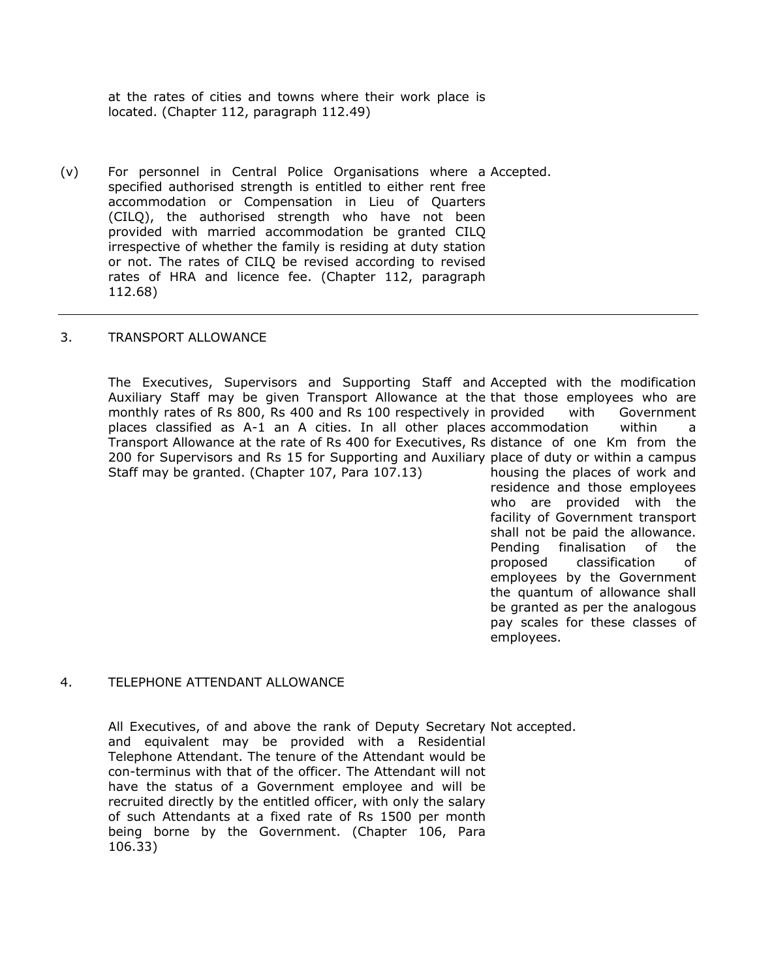at the rates of cities and towns where their work place is located. (Chapter 112, paragraph 112.49)

(v) For personnel in Central Police Organisations where a Accepted. specified authorised strength is entitled to either rent free accommodation or Compensation in Lieu of Quarters (CILQ), the authorised strength who have not been provided with married accommodation be granted CILQ irrespective of whether the family is residing at duty station or not. The rates of CILQ be revised according to revised rates of HRA and licence fee. (Chapter 112, paragraph 112.68)

### 3. TRANSPORT ALLOWANCE

 The Executives, Supervisors and Supporting Staff and Accepted with the modification Auxiliary Staff may be given Transport Allowance at the that those employees who are monthly rates of Rs 800, Rs 400 and Rs 100 respectively in places classified as A-1 an A cities. In all other places accommodation within a Transport Allowance at the rate of Rs 400 for Executives, Rs distance of one Km from the 200 for Supervisors and Rs 15 for Supporting and Auxiliary place of duty or within a campus Staff may be granted. (Chapter 107, Para 107.13) with Government housing the places of work and

residence and those employees who are provided with the facility of Government transport shall not be paid the allowance. Pending finalisation of the proposed classification of employees by the Government the quantum of allowance shall be granted as per the analogous pay scales for these classes of employees.

#### 4. TELEPHONE ATTENDANT ALLOWANCE

 All Executives, of and above the rank of Deputy Secretary Not accepted. and equivalent may be provided with a Residential Telephone Attendant. The tenure of the Attendant would be con-terminus with that of the officer. The Attendant will not have the status of a Government employee and will be recruited directly by the entitled officer, with only the salary of such Attendants at a fixed rate of Rs 1500 per month being borne by the Government. (Chapter 106, Para 106.33)